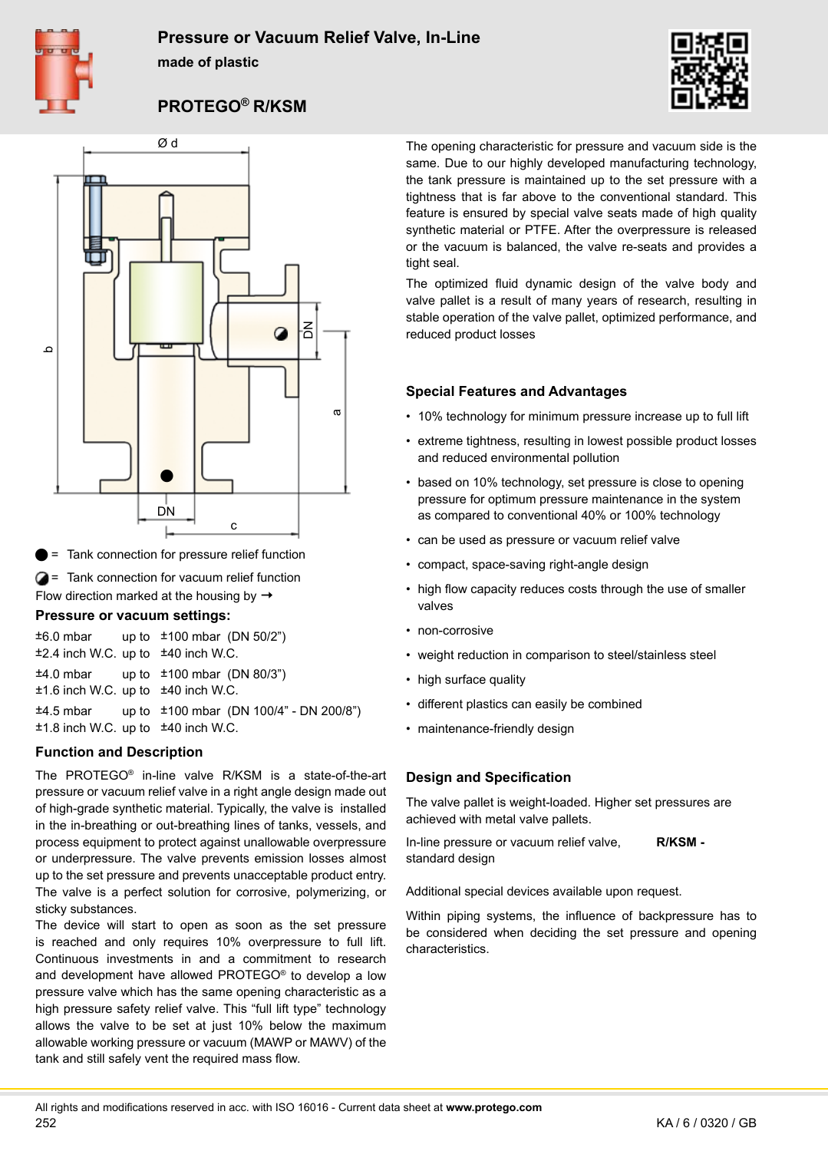

### **Pressure or Vacuum Relief Valve, In-Line**

**made of plastic**



## **PROTEGO® R/KSM**



 = Tank connection for pressure relief function

**2** = Tank connection for vacuum relief function

Flow direction marked at the housing by  $\rightarrow$ 

#### **Pressure or vacuum settings:**

 $\pm 6.0$  mbar up to  $\pm 100$  mbar (DN 50/2") ±2.4 inch W.C. up to ±40 inch W.C. ±4.0 mbar up to ±100 mbar (DN 80/3") ±1.6 inch W.C. up to ±40 inch W.C. ±4.5 mbar up to ±100 mbar (DN 100/4" - DN 200/8") ±1.8 inch W.C. up to ±40 inch W.C.

#### **Function and Description**

The PROTEGO® in-line valve R/KSM is a state-of-the-art pressure or vacuum relief valve in a right angle design made out of high-grade synthetic material. Typically, the valve is installed in the in-breathing or out-breathing lines of tanks, vessels, and process equipment to protect against unallowable overpressure or underpressure. The valve prevents emission losses almost up to the set pressure and prevents unacceptable product entry. The valve is a perfect solution for corrosive, polymerizing, or sticky substances.

The device will start to open as soon as the set pressure is reached and only requires 10% overpressure to full lift. Continuous investments in and a commitment to research and development have allowed PROTEGO® to develop a low pressure valve which has the same opening characteristic as a high pressure safety relief valve. This "full lift type" technology allows the valve to be set at just 10% below the maximum allowable working pressure or vacuum (MAWP or MAWV) of the tank and still safely vent the required mass flow.

The opening characteristic for pressure and vacuum side is the same. Due to our highly developed manufacturing technology, the tank pressure is maintained up to the set pressure with a tightness that is far above to the conventional standard. This feature is ensured by special valve seats made of high quality synthetic material or PTFE. After the overpressure is released or the vacuum is balanced, the valve re-seats and provides a tight seal.

The optimized fluid dynamic design of the valve body and valve pallet is a result of many years of research, resulting in stable operation of the valve pallet, optimized performance, and reduced product losses

#### **Special Features and Advantages**

- 10% technology for minimum pressure increase up to full lift
- extreme tightness, resulting in lowest possible product losses and reduced environmental pollution
- based on 10% technology, set pressure is close to opening pressure for optimum pressure maintenance in the system as compared to conventional 40% or 100% technology
- can be used as pressure or vacuum relief valve
- compact, space-saving right-angle design
- high flow capacity reduces costs through the use of smaller valves
- non-corrosive
- weight reduction in comparison to steel/stainless steel
- high surface quality
- • different plastics can easily be combined
- maintenance-friendly design

#### **Design and Specification**

The valve pallet is weight-loaded. Higher set pressures are achieved with metal valve pallets.

In-line pressure or vacuum relief valve, standard design **R/KSM -** 

Additional special devices available upon request.

Within piping systems, the influence of backpressure has to be considered when deciding the set pressure and opening characteristics.